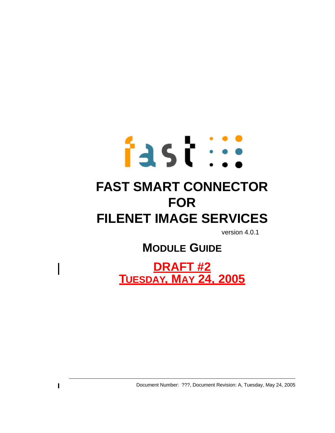# fast ::: **FAST SMART CONNECTOR FOR FILENET IMAGE SERVICES**

version 4.0.1

# **MODULE GUIDE**

**DRAFT #2 TUESDAY, MAY 24, 2005**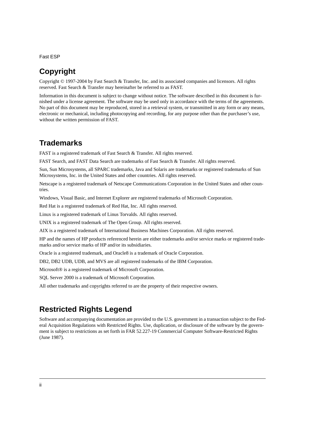Fast ESP

### **Copyright**

Copyright © 1997-2004 by Fast Search & Transfer, Inc. and its associated companies and licensors. All rights reserved. Fast Search & Transfer may hereinafter be referred to as FAST.

Information in this document is subject to change without notice. The software described in this document is furnished under a license agreement. The software may be used only in accordance with the terms of the agreements. No part of this document may be reproduced, stored in a retrieval system, or transmitted in any form or any means, electronic or mechanical, including photocopying and recording, for any purpose other than the purchaser's use, without the written permission of FAST.

### **Trademarks**

FAST is a registered trademark of Fast Search & Transfer. All rights reserved.

FAST Search, and FAST Data Search are trademarks of Fast Search & Transfer. All rights reserved.

Sun, Sun Microsystems, all SPARC trademarks, Java and Solaris are trademarks or registered trademarks of Sun Microsystems, Inc. in the United States and other countries. All rights reserved.

Netscape is a registered trademark of Netscape Communications Corporation in the United States and other countries.

Windows, Visual Basic, and Internet Explorer are registered trademarks of Microsoft Corporation.

Red Hat is a registered trademark of Red Hat, Inc. All rights reserved.

Linux is a registered trademark of Linus Torvalds. All rights reserved.

UNIX is a registered trademark of The Open Group. All rights reserved.

AIX is a registered trademark of International Business Machines Corporation. All rights reserved.

HP and the names of HP products referenced herein are either trademarks and/or service marks or registered trademarks and/or service marks of HP and/or its subsidiaries.

Oracle is a registered trademark, and Oracle8 is a trademark of Oracle Corporation.

DB2, DB2 UDB, UDB, and MVS are all registered trademarks of the IBM Corporation.

Microsoft® is a registered trademark of Microsoft Corporation.

SQL Server 2000 is a trademark of Microsoft Corporation.

All other trademarks and copyrights referred to are the property of their respective owners.

### **Restricted Rights Legend**

Software and accompanying documentation are provided to the U.S. government in a transaction subject to the Federal Acquisition Regulations with Restricted Rights. Use, duplication, or disclosure of the software by the government is subject to restrictions as set forth in FAR 52.227-19 Commercial Computer Software-Restricted Rights (June 1987).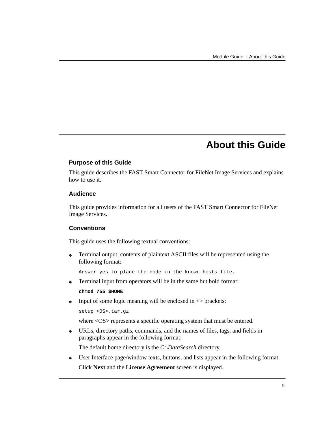### **About this Guide**

#### <span id="page-2-0"></span>**Purpose of this Guide**

This guide describes the FAST Smart Connector for FileNet Image Services and explains how to use it.

#### **Audience**

This guide provides information for all users of the FAST Smart Connector for FileNet Image Services.

#### **Conventions**

This guide uses the following textual conventions:

 Terminal output, contents of plaintext ASCII files will be represented using the following format:

Answer yes to place the node in the known\_hosts file.

Terminal input from operators will be in the same but bold format:

**chmod 755 \$HOME**

• Input of some logic meaning will be enclosed in  $\langle$  brackets:

```
setup_<OS>.tar.gz
```
where  $\langle OS \rangle$  represents a specific operating system that must be entered.

 URLs, directory paths, commands, and the names of files, tags, and fields in paragraphs appear in the following format:

The default home directory is the *C:\DataSearch* directory.

 User Interface page/window texts, buttons, and lists appear in the following format: Click **Next** and the **License Agreement** screen is displayed.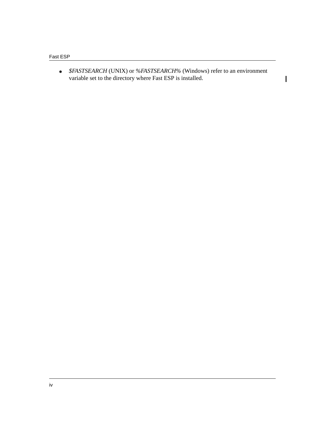*\$FASTSEARCH* (UNIX) or *%FASTSEARCH%* (Windows) refer to an environment variable set to the directory where Fast ESP is installed.

 $\mathbf I$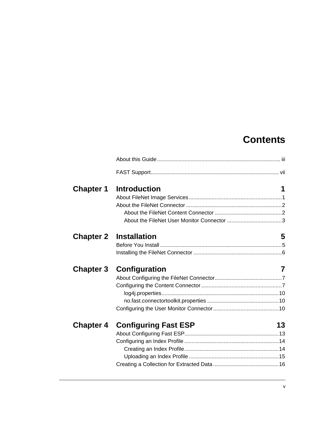### **Contents**

| <b>Chapter 1</b> | <b>Introduction</b>           | 1  |
|------------------|-------------------------------|----|
|                  |                               |    |
|                  |                               |    |
|                  |                               |    |
|                  |                               |    |
|                  | <b>Chapter 2 Installation</b> | 5  |
|                  |                               |    |
|                  |                               |    |
|                  |                               |    |
| <b>Chapter 3</b> | Configuration                 | 7  |
|                  |                               |    |
|                  |                               |    |
|                  |                               |    |
|                  |                               |    |
|                  |                               |    |
| <b>Chapter 4</b> | <b>Configuring Fast ESP</b>   | 13 |
|                  |                               |    |
|                  |                               |    |
|                  |                               |    |
|                  |                               |    |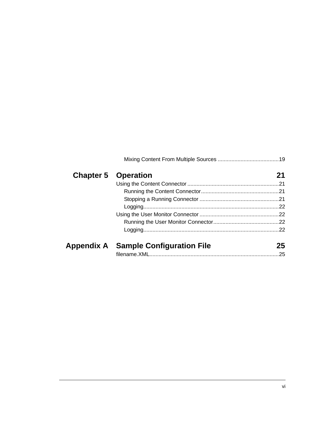| <b>Chapter 5 Operation</b>           | 21  |
|--------------------------------------|-----|
|                                      |     |
|                                      |     |
|                                      |     |
|                                      |     |
|                                      |     |
|                                      |     |
|                                      | .22 |
| Appendix A Sample Configuration File | 25  |
|                                      |     |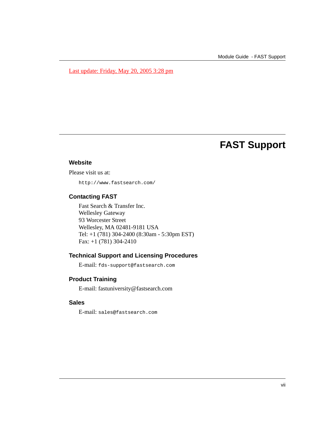#### Last update: Friday, May 20, 2005 3:28 pm

### **FAST Support**

#### <span id="page-6-0"></span>**Website**

Please visit us at:

http://www.fastsearch.com/

#### **Contacting FAST**

Fast Search & Transfer Inc. Wellesley Gateway 93 Worcester Street Wellesley, MA 02481-9181 USA Tel: +1 (781) 304-2400 (8:30am - 5:30pm EST) Fax: +1 (781) 304-2410

#### **Technical Support and Licensing Procedures**

E-mail: fds-support@fastsearch.com

#### **Product Training**

E-mail: fastuniversity@fastsearch.com

#### **Sales**

E-mail: sales@fastsearch.com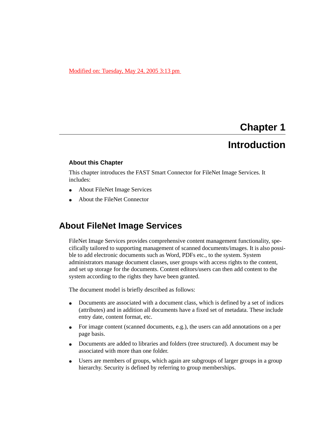#### Modified on: Tuesday, May 24, 2005 3:13 pm

### **Chapter 1**

### **Introduction**

#### <span id="page-8-1"></span><span id="page-8-0"></span>**About this Chapter**

This chapter introduces the FAST Smart Connector for FileNet Image Services. It includes:

- [About FileNet Image Services](#page-8-2)
- [About the FileNet Connector](#page-9-0)

### <span id="page-8-2"></span>**About FileNet Image Services**

FileNet Image Services provides comprehensive content management functionality, specifically tailored to supporting management of scanned documents/images. It is also possible to add electronic documents such as Word, PDFs etc., to the system. System administrators manage document classes, user groups with access rights to the content, and set up storage for the documents. Content editors/users can then add content to the system according to the rights they have been granted.

The document model is briefly described as follows:

- Documents are associated with a document class, which is defined by a set of indices (attributes) and in addition all documents have a fixed set of metadata. These include entry date, content format, etc.
- For image content (scanned documents, e.g.), the users can add annotations on a per page basis.
- Documents are added to libraries and folders (tree structured). A document may be associated with more than one folder.
- Users are members of groups, which again are subgroups of larger groups in a group hierarchy. Security is defined by referring to group memberships.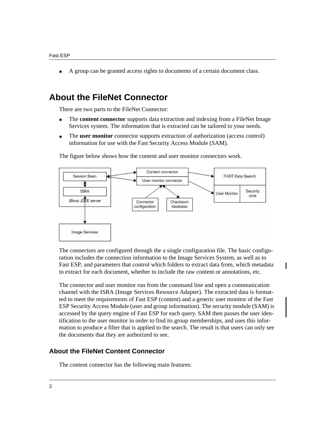A group can be granted access rights to documents of a certain document class.

### <span id="page-9-0"></span>**About the FileNet Connector**

There are two parts to the FileNet Connector:

- The **content connector** supports data extraction and indexing from a FileNet Image Services system. The information that is extracted can be tailored to your needs.
- The **user monitor** connector supports extraction of authorization (access control) information for use with the Fast Security Access Module (SAM).



The figure below shows how the content and user monitor connectors work.

The connectors are configured through the a single configuration file. The basic configuration includes the connection information to the Image Services System, as well as to Fast ESP, and parameters that control which folders to extract data from, which metadata to extract for each document, whether to include the raw content or annotations, etc.

ı

The connector and user monitor run from the command line and open a communication channel with the ISRA (Image Services Resource Adapter). The extracted data is formatted to meet the requirements of Fast ESP (content) and a generic user monitor of the Fast ESP Security Access Module (user and group information). The security module (SAM) is accessed by the query engine of Fast ESP for each query. SAM then passes the user identification to the user monitor in order to find its group memberships, and uses this information to produce a filter that is applied to the search. The result is that users can only see the documents that they are authorized to see.

### <span id="page-9-1"></span>**About the FileNet Content Connector**

The content connector has the following main features: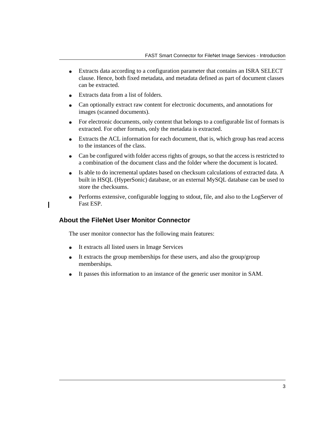- Extracts data according to a configuration parameter that contains an ISRA SELECT clause. Hence, both fixed metadata, and metadata defined as part of document classes can be extracted.
- Extracts data from a list of folders.
- Can optionally extract raw content for electronic documents, and annotations for images (scanned documents).
- For electronic documents, only content that belongs to a configurable list of formats is extracted. For other formats, only the metadata is extracted.
- Extracts the ACL information for each document, that is, which group has read access to the instances of the class.
- Can be configured with folder access rights of groups, so that the access is restricted to a combination of the document class and the folder where the document is located.
- Is able to do incremental updates based on checksum calculations of extracted data. A built in HSQL (HyperSonic) database, or an external MySQL database can be used to store the checksums.
- Performs extensive, configurable logging to stdout, file, and also to the LogServer of Fast ESP.

### <span id="page-10-0"></span>**About the FileNet User Monitor Connector**

The user monitor connector has the following main features:

- It extracts all listed users in Image Services
- It extracts the group memberships for these users, and also the group/group memberships.
- It passes this information to an instance of the generic user monitor in SAM.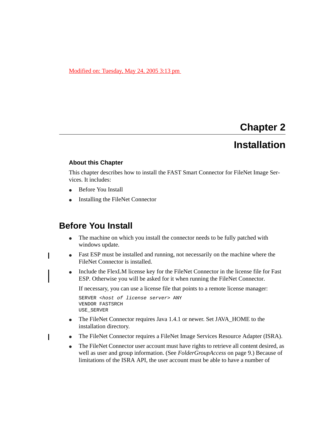#### Modified on: Tuesday, May 24, 2005 3:13 pm

### **Chapter 2 Installation**

#### <span id="page-12-1"></span><span id="page-12-0"></span>**About this Chapter**

This chapter describes how to install the FAST Smart Connector for FileNet Image Services. It includes:

- [Before You Install](#page-12-2)
- [Installing the FileNet Connector](#page-13-0)

### <span id="page-12-2"></span>**Before You Install**

- The machine on which you install the connector needs to be fully patched with windows update.
- Fast ESP must be installed and running, not necessarily on the machine where the FileNet Connector is installed.
- Include the FlexLM license key for the FileNet Connector in the license file for Fast ESP. Otherwise you will be asked for it when running the FileNet Connector.

If necessary, you can use a license file that points to a remote license manager:

```
SERVER <host of license server> ANY
VENDOR FASTSRCH
USE_SERVER
```
- The FileNet Connector requires Java 1.4.1 or newer. Set JAVA\_HOME to the installation directory.
- The FileNet Connector requires a FileNet Image Services Resource Adapter (ISRA).
- The FileNet Connector user account must have rights to retrieve all content desired, as well as user and group information. (See *[FolderGroupAccess](#page-16-0)* on page 9.) Because of limitations of the ISRA API, the user account must be able to have a number of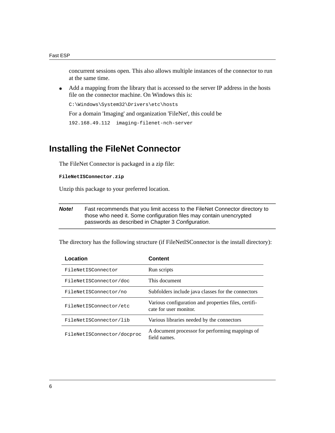concurrent sessions open. This also allows multiple instances of the connector to run at the same time.

 Add a mapping from the library that is accessed to the server IP address in the hosts file on the connector machine. On Windows this is:

C:\Windows\System32\Drivers\etc\hosts

For a domain 'Imaging' and organization 'FileNet', this could be

```
192.168.49.112 imaging-filenet-nch-server
```
### <span id="page-13-0"></span>**Installing the FileNet Connector**

The FileNet Connector is packaged in a zip file:

**FileNetISConnector.zip**

Unzip this package to your preferred location.

*Note!* Fast recommends that you limit access to the FileNet Connector directory to those who need it. Some configuration files may contain unencrypted passwords as described in Chapter 3 *[Configuration](#page-14-4)*.

The directory has the following structure (if FileNetISConnector is the install directory):

| Location                   | Content                                                                        |
|----------------------------|--------------------------------------------------------------------------------|
| FileNetISConnector         | Run scripts                                                                    |
| FileNetISConnector/doc     | This document                                                                  |
| FileNetISConnector/no      | Subfolders include java classes for the connectors                             |
| FileNetISConnector/etc     | Various configuration and properties files, certifi-<br>cate for user monitor. |
| FileNetISConnector/lib     | Various libraries needed by the connectors                                     |
| FileNetISConnector/docproc | A document processor for performing mappings of<br>field names.                |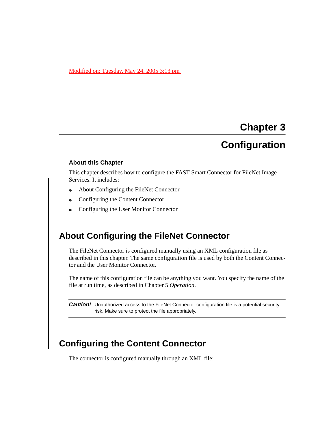#### Modified on: Tuesday, May 24, 2005 3:13 pm

### **Chapter 3**

### <span id="page-14-4"></span>**Configuration**

#### <span id="page-14-1"></span><span id="page-14-0"></span>**About this Chapter**

This chapter describes how to configure the FAST Smart Connector for FileNet Image Services. It includes:

- [About Configuring the FileNet Connector](#page-14-2)
- [Configuring the Content Connector](#page-14-3)
- [Configuring the User Monitor Connector](#page-17-2)

### <span id="page-14-2"></span>**About Configuring the FileNet Connector**

The FileNet Connector is configured manually using an XML configuration file as described in this chapter. The same configuration file is used by both the Content Connector and the User Monitor Connector.

The name of this configuration file can be anything you want. You specify the name of the file at run time, as described in [Chapter 5](#page-28-5) *Operation*.

**Caution!** Unauthorized access to the FileNet Connector configuration file is a potential security risk. Make sure to protect the file appropriately.

### <span id="page-14-3"></span>**Configuring the Content Connector**

The connector is configured manually through an XML file: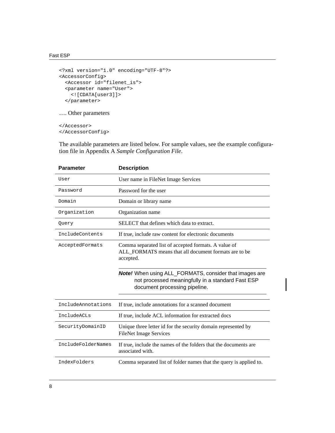```
<?xml version="1.0" encoding="UTF-8"?>
<AccessorConfig>
   <Accessor id="filenet_is">
   <parameter name="User">
     <![CDATA[user3]]>
   </parameter>
…. Other parameters
```
</Accessor> </AccessorConfig>

The available parameters are listed below. For sample values, see the example configuration file in Appendix A *[Sample Configuration File](#page-32-3)*.

| <b>Parameter</b>   | <b>Description</b>                                                                                                                                  |
|--------------------|-----------------------------------------------------------------------------------------------------------------------------------------------------|
| User               | User name in FileNet Image Services                                                                                                                 |
| Password           | Password for the user                                                                                                                               |
| Domain             | Domain or library name                                                                                                                              |
| Organization       | Organization name                                                                                                                                   |
| Query              | SELECT that defines which data to extract.                                                                                                          |
| IncludeContents    | If true, include raw content for electronic documents                                                                                               |
| AcceptedFormats    | Comma separated list of accepted formats. A value of<br>ALL_FORMATS means that all document formats are to be<br>accepted.                          |
|                    | <b>Note!</b> When using ALL_FORMATS, consider that images are<br>not processed meaningfully in a standard Fast ESP<br>document processing pipeline. |
| IncludeAnnotations | If true, include annotations for a scanned document                                                                                                 |
| IncludeACLs        | If true, include ACL information for extracted docs                                                                                                 |
| SecurityDomainID   | Unique three letter id for the security domain represented by<br><b>FileNet Image Services</b>                                                      |
| IncludeFolderNames | If true, include the names of the folders that the documents are<br>associated with.                                                                |
| IndexFolders       | Comma separated list of folder names that the query is applied to.                                                                                  |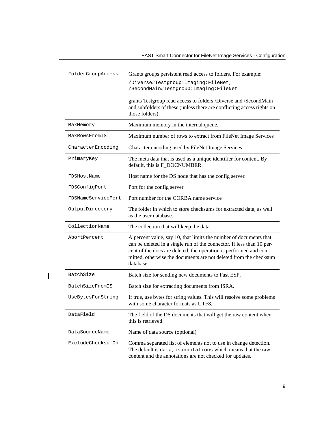<span id="page-16-0"></span>

| FolderGroupAccess  | Grants groups persistent read access to folders. For example:                                                                                                                                                                                                                                     |
|--------------------|---------------------------------------------------------------------------------------------------------------------------------------------------------------------------------------------------------------------------------------------------------------------------------------------------|
|                    | /Diverse#Testgroup: Imaging: FileNet,<br>/SecondMain#Testgroup: Imaging: FileNet                                                                                                                                                                                                                  |
|                    | grants Testgroup read access to folders /Diverse and /SecondMain<br>and subfolders of these (unless there are conflicting access rights on<br>those folders).                                                                                                                                     |
| MaxMemory          | Maximum memory in the internal queue.                                                                                                                                                                                                                                                             |
| MaxRowsFromIS      | Maximum number of rows to extract from FileNet Image Services                                                                                                                                                                                                                                     |
| CharacterEncoding  | Character encoding used by FileNet Image Services.                                                                                                                                                                                                                                                |
| PrimaryKey         | The meta data that is used as a unique identifier for content. By<br>default, this is F_DOCNUMBER.                                                                                                                                                                                                |
| FDSHostName        | Host name for the DS node that has the config server.                                                                                                                                                                                                                                             |
| FDSConfigPort      | Port for the config server                                                                                                                                                                                                                                                                        |
| FDSNameServicePort | Port number for the CORBA name service                                                                                                                                                                                                                                                            |
| OutputDirectory    | The folder in which to store checksums for extracted data, as well<br>as the user database.                                                                                                                                                                                                       |
| CollectionName     | The collection that will keep the data.                                                                                                                                                                                                                                                           |
| AbortPercent       | A percent value, say 10, that limits the number of documents that<br>can be deleted in a single run of the connector. If less than 10 per-<br>cent of the docs are deleted, the operation is performed and com-<br>mitted, otherwise the documents are not deleted from the checksum<br>database. |
| BatchSize          | Batch size for sending new documents to Fast ESP.                                                                                                                                                                                                                                                 |
| BatchSizeFromIS    | Batch size for extracting documents from ISRA.                                                                                                                                                                                                                                                    |
| UseBytesForString  | If true, use bytes for string values. This will resolve some problems<br>with some character formats as UTF8.                                                                                                                                                                                     |
| DataField          | The field of the DS documents that will get the raw content when<br>this is retrieved.                                                                                                                                                                                                            |
| DataSourceName     | Name of data source (optional)                                                                                                                                                                                                                                                                    |
| ExcludeChecksumOn  | Comma separated list of elements not to use in change detection.<br>The default is data, isannotations which means that the raw<br>content and the annotations are not checked for updates.                                                                                                       |

 $\overline{\mathbf{I}}$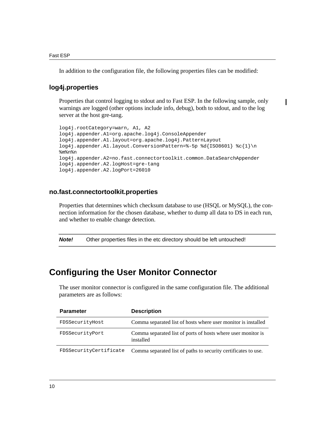In addition to the configuration file, the following properties files can be modified:

#### <span id="page-17-0"></span>**log4j.properties**

Properties that control logging to stdout and to Fast ESP. In the following sample, only warnings are logged (other options include info, debug), both to stdout, and to the log server at the host gre-tang.

```
log4j.rootCategory=warn, A1, A2 
log4j.appender.A1=org.apache.log4j.ConsoleAppender
log4j.appender.A1.layout=org.apache.log4j.PatternLayout
log4j.appender.A1.layout.ConversionPattern=%-5p %d{ISO8601} %c{1}\n 
%m%n%n
log4j.appender.A2=no.fast.connectortoolkit.common.DataSearchAppender
log4j.appender.A2.logHost=gre-tang
log4j.appender.A2.logPort=26010
```
#### <span id="page-17-1"></span>**no.fast.connectortoolkit.properties**

Properties that determines which checksum database to use (HSQL or MySQL), the connection information for the chosen database, whether to dump all data to DS in each run, and whether to enable change detection.

**Note!** Other properties files in the etc directory should be left untouched!

### <span id="page-17-2"></span>**Configuring the User Monitor Connector**

The user monitor connector is configured in the same configuration file. The additional parameters are as follows:

| <b>Parameter</b>       | <b>Description</b>                                                        |
|------------------------|---------------------------------------------------------------------------|
| FDSSecurityHost        | Comma separated list of hosts where user monitor is installed             |
| FDSSecurityPort        | Comma separated list of ports of hosts where user monitor is<br>installed |
| FDSSecurityCertificate | Comma separated list of paths to security certificates to use.            |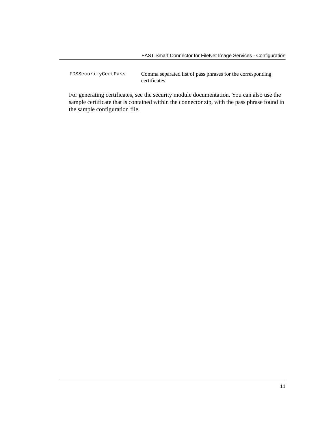FDSSecurityCertPass Comma separated list of pass phrases for the corresponding certificates.

For generating certificates, see the security module documentation. You can also use the sample certificate that is contained within the connector zip, with the pass phrase found in the sample configuration file.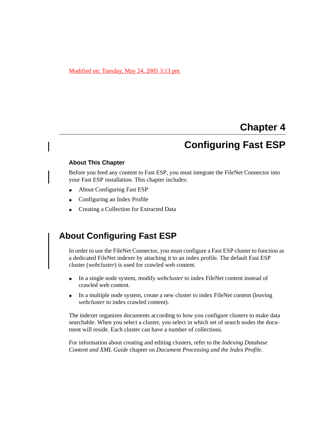#### Modified on: Tuesday, May 24, 2005 3:13 pm

### **Chapter 4**

### **Configuring Fast ESP**

#### <span id="page-20-1"></span><span id="page-20-0"></span>**About This Chapter**

Before you feed any content to Fast ESP, you must integrate the FileNet Connector into your Fast ESP installation. This chapter includes:

- [About Configuring Fast ESP](#page-20-2)
- [Configuring an Index Profile](#page-21-0)
- [Creating a Collection for Extracted Data](#page-23-0)

### <span id="page-20-2"></span>**About Configuring Fast ESP**

In order to use the FileNet Connector, you must configure a Fast ESP cluster to function as a dedicated FileNet indexer by attaching it to an index profile. The default Fast ESP cluster (*webcluster*) is used for crawled web content.

- In a single node system, modify *webcluster* to index FileNet content instead of crawled web content.
- In a multiple node system, create a new cluster to index FileNet content (leaving *webcluster* to index crawled content).

The indexer organizes documents according to how you configure clusters to make data searchable. When you select a cluster, you select in which set of search nodes the document will reside. Each cluster can have a number of collections.

For information about creating and editing clusters, refer to the *Indexing Database Content and XML Guide* chapter on *Document Processing and the Index Profile*.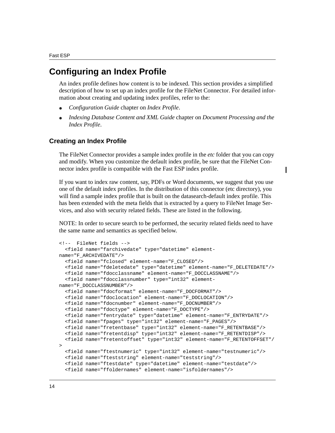### <span id="page-21-0"></span>**Configuring an Index Profile**

An index profile defines how content is to be indexed. This section provides a simplified description of how to set up an index profile for the FileNet Connector. For detailed information about creating and updating index profiles, refer to the:

- *Configuration Guide* chapter on *Index Profile*.
- *Indexing Database Content and XML Guide* chapter on *Document Processing and the Index Profile*.

### <span id="page-21-1"></span>**Creating an Index Profile**

The FileNet Connector provides a sample index profile in the *etc* folder that you can copy and modify. When you customize the default index profile, be sure that the FileNet Connector index profile is compatible with the Fast ESP index profile.

If you want to index raw content, say, PDFs or Word documents, we suggest that you use one of the default index profiles. In the distribution of this connector (etc directory), you will find a sample index profile that is built on the datasearch-default index profile. This has been extended with the meta fields that is extracted by a query to FileNet Image Services, and also with security related fields. These are listed in the following.

NOTE: In order to secure search to be performed, the security related fields need to have the same name and semantics as specified below.

```
<!-- FileNet fields -->
   <field name="farchivedate" type="datetime" element-
name="F_ARCHIVEDATE"/>
   <field name="fclosed" element-name="F_CLOSED"/>
   <field name="fdeletedate" type="datetime" element-name="F_DELETEDATE"/>
   <field name="fdocclassname" element-name="F_DOCCLASSNAME"/>
   <field name="fdocclassnumber" type="int32" element-
name="F_DOCCLASSNUMBER"/>
   <field name="fdocformat" element-name="F_DOCFORMAT"/>
   <field name="fdoclocation" element-name="F_DOCLOCATION"/>
   <field name="fdocnumber" element-name="F_DOCNUMBER"/>
   <field name="fdoctype" element-name="F_DOCTYPE"/>
   <field name="fentrydate" type="datetime" element-name="F_ENTRYDATE"/>
   <field name="fpages" type="int32" element-name="F_PAGES"/>
   <field name="fretentbase" type="int32" element-name="F_RETENTBASE"/>
   <field name="fretentdisp" type="int32" element-name="F_RETENTDISP"/>
   <field name="fretentoffset" type="int32" element-name="F_RETENTOFFSET"/
>
   <field name="ftestnumeric" type="int32" element-name="testnumeric"/>
   <field name="fteststring" element-name="teststring"/>
   <field name="ftestdate" type="datetime" element-name="testdate"/>
   <field name="ffoldernames" element-name="isfoldernames"/>
```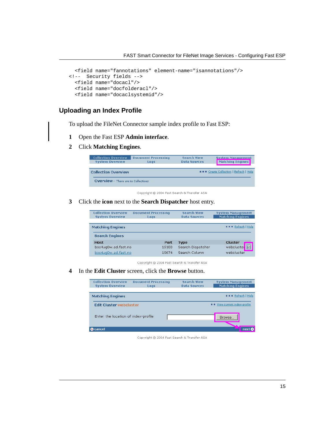```
 <field name="fannotations" element-name="isannotations"/>
<!-- Security fields --> 
  <field name="docacl"/>
   <field name="docfolderacl"/>
   <field name="docaclsystemid"/>
```
### <span id="page-22-0"></span>**Uploading an Index Profile**

To upload the FileNet Connector sample index profile to Fast ESP:

- **1** Open the Fast ESP **Admin interface**.
- **2** Click **Matching Engines**.

| <b>Collection Overview</b><br><b>System Overview</b> | <b>Document Processing</b><br>Logs | <b>Search View</b><br><b>Data Sources</b> | <b>System Management</b><br>Matching Engines  |
|------------------------------------------------------|------------------------------------|-------------------------------------------|-----------------------------------------------|
| <b>Collection Overview</b>                           |                                    |                                           | <b>NEW Create Collection   Refresh   Help</b> |
| <b>OVERVIEW - There are no Collections</b>           |                                    |                                           |                                               |

Copyright @ 2004 Fast Search & Transfer ASA

**3** Click the **icon** next to the **Search Dispatcher** host entry.

| <b>Collection Overview</b><br><b>System Overview</b> | <b>Document Processing</b><br>Logs | <b>Search View</b><br><b>Data Sources</b> | <b>System Management</b><br><b>Matching Engines</b> |
|------------------------------------------------------|------------------------------------|-------------------------------------------|-----------------------------------------------------|
| <b>Matching Engines</b>                              |                                    |                                           | <b>NNNN</b> Refresh   Help                          |
| <b>Search Engines</b>                                |                                    |                                           |                                                     |
| <b>Host</b>                                          | Port                               | Type                                      | Cluster                                             |
| bos4ug0w.ad.fast.no                                  | 15100                              | Search Dispatcher                         | 圖<br>webcluster                                     |
| bos4ug0w.ad.fast.no                                  | 15674                              | Search Column                             | wehcluster                                          |

Copyright © 2004 Fast Search & Transfer ASA

**4** In the **Edit Cluster** screen, click the **Browse** button.

| <b>Collection Overview</b><br><b>System Overview</b> | <b>Document Processing</b><br>Loas | <b>Search View</b><br><b>Data Sources</b> | <b>System Management</b><br><b>Matching Engines</b> |
|------------------------------------------------------|------------------------------------|-------------------------------------------|-----------------------------------------------------|
|                                                      |                                    |                                           |                                                     |
| <b>Matching Engines</b>                              |                                    |                                           | ■■■ Refresh   Help                                  |
| <b>Edit Cluster webcluster</b>                       |                                    |                                           | <b>B B</b> View current index-profile               |
| Enter the location of index-profile                  |                                    |                                           | Browse                                              |
| cancel                                               |                                    |                                           | next O                                              |

Copyright © 2004 Fast Search & Transfer ASA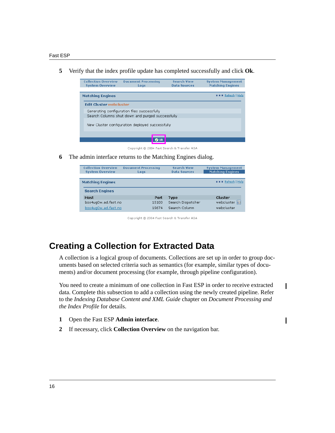**5** Verify that the index profile update has completed successfully and click **Ok**.



Copyright @ 2004 Fast Search & Transfer ASA

**6** The admin interface returns to the Matching Engines dialog.

| <b>Collection Overview</b><br><b>System Overview</b> | <b>Document Processing</b><br>Logs | <b>Search View</b><br><b>Data Sources</b> | <b>System Management</b><br><b>Matching Engines</b> |
|------------------------------------------------------|------------------------------------|-------------------------------------------|-----------------------------------------------------|
| <b>Matching Engines</b>                              |                                    |                                           | <b>NNNN</b> Refresh   Help                          |
| <b>Search Engines</b>                                |                                    |                                           |                                                     |
| Host                                                 | Port                               | Type                                      | Cluster                                             |
| bos4uq0w.ad.fast.no                                  | 15100                              | Search Dispatcher                         | webcluster <b>a</b>                                 |
| bos4uq0w.ad.fast.no                                  | 15674                              | Search Column                             | webcluster                                          |

Copyright © 2004 Fast Search & Transfer ASA

### <span id="page-23-0"></span>**Creating a Collection for Extracted Data**

A collection is a logical group of documents. Collections are set up in order to group documents based on selected criteria such as semantics (for example, similar types of documents) and/or document processing (for example, through pipeline configuration).

You need to create a minimum of one collection in Fast ESP in order to receive extracted data. Complete this subsection to add a collection using the newly created pipeline. Refer to the *Indexing Database Content and XML Guide* chapter on *Document Processing and the Index Profile* for details.

ı

- **1** Open the Fast ESP **Admin interface**.
- **2** If necessary, click **Collection Overview** on the navigation bar.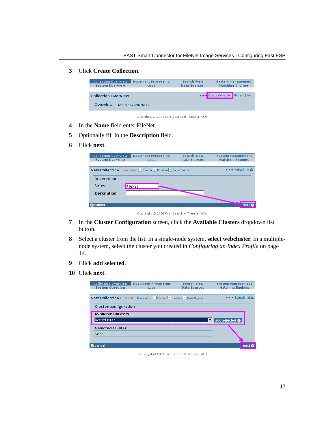#### **3** Click **Create Collection**.



Copyright © 2004 Fast Search & Transfer ASA

- **4** In the **Name** field enter FileNet.
- **5** Optionally fill in the **Description** field.
- **6** Click **next**.

| <b>Collection Overview</b><br><b>System Overview</b> | <b>Document Processing</b><br>Logs                              | <b>Search View</b><br><b>Data Sources</b> | <b>System Management</b><br><b>Matching Engines</b> |
|------------------------------------------------------|-----------------------------------------------------------------|-------------------------------------------|-----------------------------------------------------|
|                                                      | New Collection - Description → Cluster → Pipeline → Data Source |                                           | Refresh   Help                                      |
| <b>Description</b>                                   |                                                                 |                                           |                                                     |
| Name                                                 | FileNet                                                         |                                           |                                                     |
| <b>Description</b>                                   |                                                                 |                                           |                                                     |
|                                                      |                                                                 |                                           | next C                                              |
| & cancel                                             |                                                                 |                                           |                                                     |

Copyright @ 2004 Fast Search & Transfer ASA

- **7** In the **Cluster Configuration** screen, click the **Available Clusters** dropdown list button.
- **8** Select a cluster from the list. In a single-node system, **select webcluster**. In a multiplenode system, select the cluster you created in *[Configuring an Index Profile](#page-21-0)* on page [14.](#page-21-0)
- **9** Click **add selected**.
- **10** Click **next**.

| <b>Collection Overview</b>   | <b>Document Processing</b>                                              | <b>Search View</b>  | <b>System Management</b> |
|------------------------------|-------------------------------------------------------------------------|---------------------|--------------------------|
| <b>System Overview</b>       | Logs                                                                    | <b>Data Sources</b> | <b>Matching Engines</b>  |
|                              |                                                                         |                     |                          |
|                              | New Collection FileNet - Description → Cluster → Pipeline → Data Source |                     | Refresh   Help           |
| <b>Cluster configuration</b> |                                                                         |                     |                          |
| <b>Available Clusters</b>    |                                                                         |                     |                          |
| llwebcluster                 |                                                                         | ▼                   | add selected <b>O</b>    |
| <b>Selected Cluster</b>      |                                                                         |                     |                          |
| None                         |                                                                         |                     |                          |
|                              |                                                                         |                     |                          |
| cancel                       |                                                                         |                     | next                     |

Copyright @ 2004 Fast Search & Transfer ASA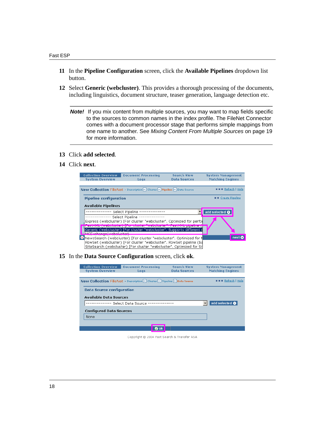- **11** In the **Pipeline Configuration** screen, click the **Available Pipelines** dropdown list button.
- **12** Select **Generic (webcluster)**. This provides a thorough processing of the documents, including linguistics, document structure, teaser generation, language detection etc.
	- *Note!* If you mix content from multiple sources, you may want to map fields specific to the sources to common names in the index profile. The FileNet Connector comes with a document processor stage that performs simple mappings from one name to another. See *[Mixing Content From Multiple Sources](#page-26-0)* on page 19 for more information.
- **13** Click **add selected**.
- **14** Click **next**.



**15** In the **Data Source Configuration** screen, click **ok**.

| <b>Collection Overview</b><br><b>System Overview</b>                                 | <b>Document Processing</b><br>Logs | <b>Search View</b><br><b>Data Sources</b> | <b>System Management</b><br><b>Matching Engines</b> |  |  |  |  |  |
|--------------------------------------------------------------------------------------|------------------------------------|-------------------------------------------|-----------------------------------------------------|--|--|--|--|--|
| New Collection FileNet - Description Deluster Depeline Data Source<br>Refresh   Help |                                    |                                           |                                                     |  |  |  |  |  |
| Data Source configuration                                                            |                                    |                                           |                                                     |  |  |  |  |  |
| Available Data Sources                                                               |                                    |                                           |                                                     |  |  |  |  |  |
| add selected <b>O</b><br>--------- Select Data Source -                              |                                    |                                           |                                                     |  |  |  |  |  |
| <b>Configured Data Sources</b>                                                       |                                    |                                           |                                                     |  |  |  |  |  |
| None                                                                                 |                                    |                                           |                                                     |  |  |  |  |  |
|                                                                                      |                                    |                                           |                                                     |  |  |  |  |  |
|                                                                                      | <b>O</b> ok                        |                                           |                                                     |  |  |  |  |  |

Copyright @ 2004 Fast Search & Transfer ASA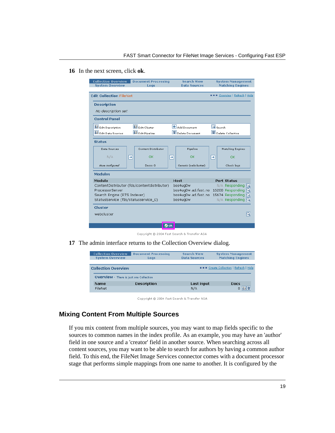#### **16** In the next screen, click **ok**.

|                | <b>Collection Overview</b><br><b>System Overview</b>               |                                             | <b>Document Processing</b><br>Logs |             | <b>Search View</b><br><b>Data Sources</b> |                                | <b>System Management</b><br><b>Matching Engines</b> |  |  |
|----------------|--------------------------------------------------------------------|---------------------------------------------|------------------------------------|-------------|-------------------------------------------|--------------------------------|-----------------------------------------------------|--|--|
|                | <b>Edit Collection FileNet</b>                                     |                                             |                                    |             |                                           |                                | <b>NNNN</b> Overview   Refresh   Help               |  |  |
|                | <b>Description</b>                                                 |                                             |                                    |             |                                           |                                |                                                     |  |  |
|                | No description set                                                 |                                             |                                    |             |                                           |                                |                                                     |  |  |
|                | <b>Control Panel</b>                                               |                                             |                                    |             |                                           |                                |                                                     |  |  |
|                | Edit Description<br><b>D</b> Fdit Cluster                          |                                             |                                    |             | H Add Document                            |                                | $\mathsf{Q} _{\mathsf{Search}}$                     |  |  |
|                | Edit Data Sources                                                  | <b>B</b> Edit Pipeline                      |                                    |             | <sup>面</sup> Delete Document              | <sup>n</sup> Delete Collection |                                                     |  |  |
|                | <b>Status</b>                                                      |                                             |                                    |             |                                           |                                |                                                     |  |  |
|                | Data Sources                                                       |                                             | <b>Content Distributor</b>         |             | Pipeline                                  |                                | <b>Matching Engines</b>                             |  |  |
|                | N/A                                                                | l→l                                         | ΩK                                 | l→l         | ΩK                                        | ⊢                              | OK                                                  |  |  |
|                | None configured                                                    |                                             | Docs: 0                            |             | Generic (webcluster)                      |                                | Check logs                                          |  |  |
| <b>Modules</b> |                                                                    |                                             |                                    |             |                                           |                                |                                                     |  |  |
|                | Module                                                             |                                             |                                    |             | <b>Host</b>                               |                                | <b>Port Status</b>                                  |  |  |
|                |                                                                    | ContentDistributor (fds/contentdistributor) |                                    |             | bos4ug0w                                  |                                | $N/A$ Responding $Q$                                |  |  |
|                | ProcessorServer                                                    |                                             |                                    |             | bos4uq0w.ad.fast.no                       |                                | 16200 Responding $ Q $                              |  |  |
|                | Search Engine (RTS Indexer)<br>StatusService (fds/statusservice_0) |                                             |                                    |             | bos4ug0w.ad.fast.no                       |                                | 15674 Responding<br>19.                             |  |  |
|                |                                                                    |                                             |                                    |             | bos4ug0w                                  |                                | N/A Responding Q                                    |  |  |
|                | Cluster                                                            |                                             |                                    |             |                                           |                                |                                                     |  |  |
|                | webcluster                                                         |                                             |                                    |             |                                           |                                | Q                                                   |  |  |
|                |                                                                    |                                             |                                    |             |                                           |                                |                                                     |  |  |
|                |                                                                    |                                             |                                    | <b>O</b> ok |                                           |                                |                                                     |  |  |

Copyright @ 2004 Fast Search & Transfer ASA

**17** The admin interface returns to the Collection Overview dialog.

| <b>Collection Overview</b> | <b>Document Processing</b>                     | <b>Search View</b>  | <b>System Management</b>                       |  |  |  |  |
|----------------------------|------------------------------------------------|---------------------|------------------------------------------------|--|--|--|--|
| <b>System Overview</b>     | Logs                                           | <b>Data Sources</b> | <b>Matching Engines</b>                        |  |  |  |  |
|                            |                                                |                     |                                                |  |  |  |  |
| <b>Collection Overview</b> |                                                |                     | <b>NNNN</b> Create Collection   Refresh   Help |  |  |  |  |
|                            | <b>OVERVIEW</b> - There is just one Collection |                     |                                                |  |  |  |  |
| <b>Name</b>                | <b>Description</b>                             | Last input          | Docs                                           |  |  |  |  |
| FileNet                    |                                                | N/A                 | 间面                                             |  |  |  |  |

Copyright @ 2004 Fast Search & Transfer ASA

### <span id="page-26-0"></span>**Mixing Content From Multiple Sources**

If you mix content from multiple sources, you may want to map fields specific to the sources to common names in the index profile. As an example, you may have an 'author' field in one source and a 'creator' field in another source. When searching across all content sources, you may want to be able to search for authors by having a common author field. To this end, the FileNet Image Services connector comes with a document processor stage that performs simple mappings from one name to another. It is configured by the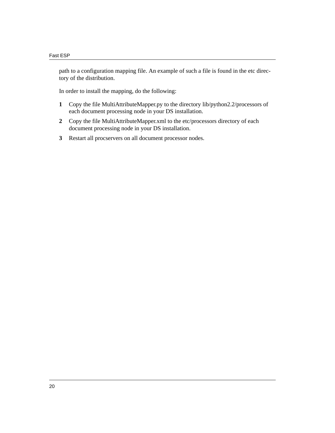path to a configuration mapping file. An example of such a file is found in the etc directory of the distribution.

In order to install the mapping, do the following:

- **1** Copy the file MultiAttributeMapper.py to the directory lib/python2.2/processors of each document processing node in your DS installation.
- **2** Copy the file MultiAttributeMapper.xml to the etc/processors directory of each document processing node in your DS installation.
- **3** Restart all procservers on all document processor nodes.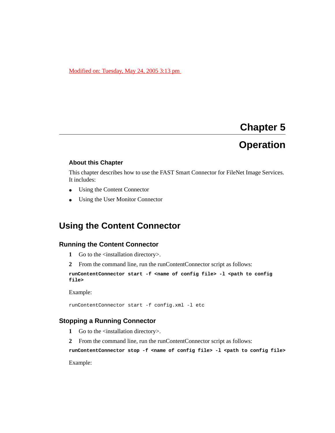#### Modified on: Tuesday, May 24, 2005 3:13 pm

# <span id="page-28-5"></span>**Chapter 5 Operation**

#### <span id="page-28-1"></span><span id="page-28-0"></span>**About this Chapter**

This chapter describes how to use the FAST Smart Connector for FileNet Image Services. It includes:

- [Using the Content Connector](#page-28-2)
- [Using the User Monitor Connector](#page-29-1)

### <span id="page-28-2"></span>**Using the Content Connector**

#### <span id="page-28-3"></span>**Running the Content Connector**

- **1** Go to the <installation directory>.
- **2** From the command line, run the runContentConnector script as follows:

```
runContentConnector start -f <name of config file> -l <path to config 
file>
```
Example:

runContentConnector start -f config.xml -l etc

### <span id="page-28-4"></span>**Stopping a Running Connector**

- **1** Go to the <installation directory>.
- **2** From the command line, run the runContentConnector script as follows:

**runContentConnector stop -f <name of config file> -l <path to config file>**

Example: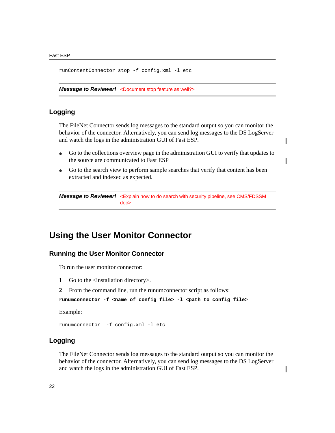runContentConnector stop -f config.xml -l etc

*Message to Reviewer!* <Document stop feature as well?>

#### <span id="page-29-0"></span>**Logging**

The FileNet Connector sends log messages to the standard output so you can monitor the behavior of the connector. Alternatively, you can send log messages to the DS LogServer and watch the logs in the administration GUI of Fast ESP.

- Go to the collections overview page in the administration GUI to verify that updates to the source are communicated to Fast ESP
- Go to the search view to perform sample searches that verify that content has been extracted and indexed as expected.

```
Message to Reviewer! <Explain how to do search with security pipeline, see CMS/FDSSM 
                         doc>
```
### <span id="page-29-1"></span>**Using the User Monitor Connector**

#### <span id="page-29-2"></span>**Running the User Monitor Connector**

To run the user monitor connector:

- **1** Go to the <installation directory>.
- **2** From the command line, run the runumconnector script as follows:

**runumconnector -f <name of config file> -l <path to config file>**

Example:

runumconnector -f config.xml -l etc

### <span id="page-29-3"></span>**Logging**

The FileNet Connector sends log messages to the standard output so you can monitor the behavior of the connector. Alternatively, you can send log messages to the DS LogServer and watch the logs in the administration GUI of Fast ESP.

I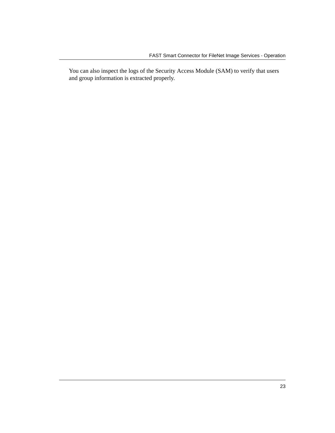You can also inspect the logs of the Security Access Module (SAM) to verify that users and group information is extracted properly.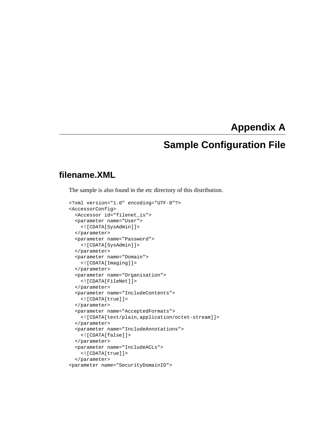### **Appendix A**

### <span id="page-32-3"></span>**Sample Configuration File**

### <span id="page-32-2"></span><span id="page-32-1"></span><span id="page-32-0"></span>**filename.XML**

The sample is also found in the etc directory of this distribution.

```
<?xml version="1.0" encoding="UTF-8"?>
<AccessorConfig>
   <Accessor id="filenet_is">
   <parameter name="User">
     <![CDATA[SysAdmin]]>
   </parameter>
   <parameter name="Password">
     <![CDATA[SysAdmin]]>
   </parameter>
   <parameter name="Domain">
     <![CDATA[Imaging]]>
   </parameter>
   <parameter name="Organisation">
     <![CDATA[FileNet]]>
   </parameter>
   <parameter name="IncludeContents">
     <![CDATA[true]]>
   </parameter>
   <parameter name="AcceptedFormats">
     <![CDATA[text/plain,application/octet-stream]]>
   </parameter>
   <parameter name="IncludeAnnotations">
     <![CDATA[false]]>
   </parameter>
   <parameter name="IncludeACLs">
     <![CDATA[true]]>
   </parameter>
<parameter name="SecurityDomainID">
```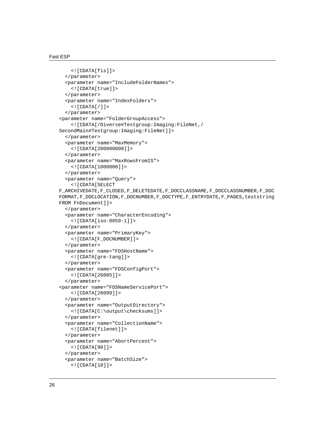```
 <![CDATA[fis]]>
   </parameter>
   <parameter name="IncludeFolderNames">
     <![CDATA[true]]>
   </parameter>
   <parameter name="IndexFolders">
     <![CDATA[/]]>
   </parameter>
<parameter name="FolderGroupAccess">
     <![CDATA[/Diverse#Testgroup:Imaging:FileNet,/
SecondMain#Testgroup:Imaging:FileNet]]>
   </parameter>
   <parameter name="MaxMemory">
     <![CDATA[200000000]]>
   </parameter>
   <parameter name="MaxRowsFromIS">
     <![CDATA[1000000]]>
   </parameter>
   <parameter name="Query">
     <![CDATA[SELECT 
F_ARCHIVEDATE,F_CLOSED,F_DELETEDATE,F_DOCCLASSNAME,F_DOCCLASSNUMBER,F_DOC
FORMAT,F_DOCLOCATION,F_DOCNUMBER,F_DOCTYPE,F_ENTRYDATE,F_PAGES,teststring 
FROM FnDocument]]>
   </parameter>
   <parameter name="CharacterEncoding">
     <![CDATA[iso-8859-1]]>
   </parameter>
   <parameter name="PrimaryKey">
     <![CDATA[F_DOCNUMBER]]>
   </parameter>
   <parameter name="FDSHostName">
     <![CDATA[gre-tang]]>
   </parameter>
   <parameter name="FDSConfigPort">
     <![CDATA[26005]]>
   </parameter>
<parameter name="FDSNameServicePort">
     <![CDATA[26099]]>
   </parameter>
   <parameter name="OutputDirectory">
     <![CDATA[C:\output\checksums]]>
   </parameter>
   <parameter name="CollectionName">
     <![CDATA[filenet]]>
   </parameter>
   <parameter name="AbortPercent">
     <![CDATA[90]]>
   </parameter>
   <parameter name="BatchSize">
     <![CDATA[10]]>
```